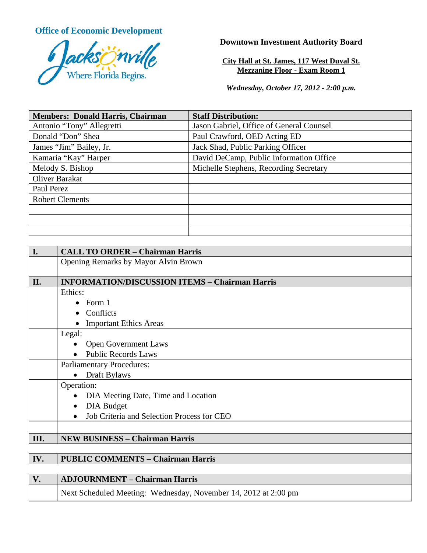**Office of Economic Development**



**Downtown Investment Authority Board** 

**City Hall at St. James, 117 West Duval St. Mezzanine Floor - Exam Room 1** 

*Wednesday, October 17, 2012 - 2:00 p.m.* 

| <b>Members: Donald Harris, Chairman</b> |                                                                 | <b>Staff Distribution:</b>               |
|-----------------------------------------|-----------------------------------------------------------------|------------------------------------------|
| Antonio "Tony" Allegretti               |                                                                 | Jason Gabriel, Office of General Counsel |
| Donald "Don" Shea                       |                                                                 | Paul Crawford, OED Acting ED             |
| James "Jim" Bailey, Jr.                 |                                                                 | Jack Shad, Public Parking Officer        |
| Kamaria "Kay" Harper                    |                                                                 | David DeCamp, Public Information Office  |
| Melody S. Bishop                        |                                                                 | Michelle Stephens, Recording Secretary   |
| <b>Oliver Barakat</b>                   |                                                                 |                                          |
| Paul Perez                              |                                                                 |                                          |
| <b>Robert Clements</b>                  |                                                                 |                                          |
|                                         |                                                                 |                                          |
|                                         |                                                                 |                                          |
|                                         |                                                                 |                                          |
|                                         |                                                                 |                                          |
| I.                                      | <b>CALL TO ORDER - Chairman Harris</b>                          |                                          |
|                                         | Opening Remarks by Mayor Alvin Brown                            |                                          |
|                                         |                                                                 |                                          |
| II.                                     | <b>INFORMATION/DISCUSSION ITEMS - Chairman Harris</b>           |                                          |
|                                         | Ethics:                                                         |                                          |
|                                         | Form 1                                                          |                                          |
|                                         | Conflicts                                                       |                                          |
|                                         | • Important Ethics Areas                                        |                                          |
|                                         | Legal:                                                          |                                          |
|                                         | <b>Open Government Laws</b>                                     |                                          |
|                                         | <b>Public Records Laws</b>                                      |                                          |
|                                         | <b>Parliamentary Procedures:</b>                                |                                          |
|                                         | Draft Bylaws<br>$\bullet$                                       |                                          |
|                                         | Operation:                                                      |                                          |
|                                         | DIA Meeting Date, Time and Location                             |                                          |
|                                         | <b>DIA Budget</b>                                               |                                          |
|                                         | Job Criteria and Selection Process for CEO                      |                                          |
|                                         |                                                                 |                                          |
| III.                                    | <b>NEW BUSINESS - Chairman Harris</b>                           |                                          |
|                                         |                                                                 |                                          |
| IV.                                     | <b>PUBLIC COMMENTS - Chairman Harris</b>                        |                                          |
|                                         |                                                                 |                                          |
| V.                                      | <b>ADJOURNMENT - Chairman Harris</b>                            |                                          |
|                                         | Next Scheduled Meeting: Wednesday, November 14, 2012 at 2:00 pm |                                          |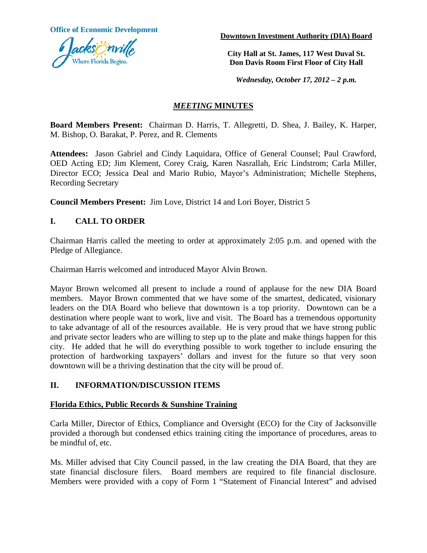

**Office of Economic Development Downtown Investment Authority (DIA) Board** 

**City Hall at St. James, 117 West Duval St. Don Davis Room First Floor of City Hall**

*Wednesday, October 17, 2012 – 2 p.m.*

# *MEETING* **MINUTES**

**Board Members Present:** Chairman D. Harris, T. Allegretti, D. Shea, J. Bailey, K. Harper, M. Bishop, O. Barakat, P. Perez, and R. Clements

**Attendees:** Jason Gabriel and Cindy Laquidara, Office of General Counsel; Paul Crawford, OED Acting ED; Jim Klement, Corey Craig, Karen Nasrallah, Eric Lindstrom; Carla Miller, Director ECO; Jessica Deal and Mario Rubio, Mayor's Administration; Michelle Stephens, Recording Secretary

**Council Members Present:** Jim Love, District 14 and Lori Boyer, District 5

# **I. CALL TO ORDER**

Chairman Harris called the meeting to order at approximately 2:05 p.m. and opened with the Pledge of Allegiance.

Chairman Harris welcomed and introduced Mayor Alvin Brown.

Mayor Brown welcomed all present to include a round of applause for the new DIA Board members. Mayor Brown commented that we have some of the smartest, dedicated, visionary leaders on the DIA Board who believe that downtown is a top priority. Downtown can be a destination where people want to work, live and visit. The Board has a tremendous opportunity to take advantage of all of the resources available. He is very proud that we have strong public and private sector leaders who are willing to step up to the plate and make things happen for this city. He added that he will do everything possible to work together to include ensuring the protection of hardworking taxpayers' dollars and invest for the future so that very soon downtown will be a thriving destination that the city will be proud of.

# **II. INFORMATION/DISCUSSION ITEMS**

#### **Florida Ethics, Public Records & Sunshine Training**

Carla Miller, Director of Ethics, Compliance and Oversight (ECO) for the City of Jacksonville provided a thorough but condensed ethics training citing the importance of procedures, areas to be mindful of, etc.

Ms. Miller advised that City Council passed, in the law creating the DIA Board, that they are state financial disclosure filers. Board members are required to file financial disclosure. Members were provided with a copy of Form 1 "Statement of Financial Interest" and advised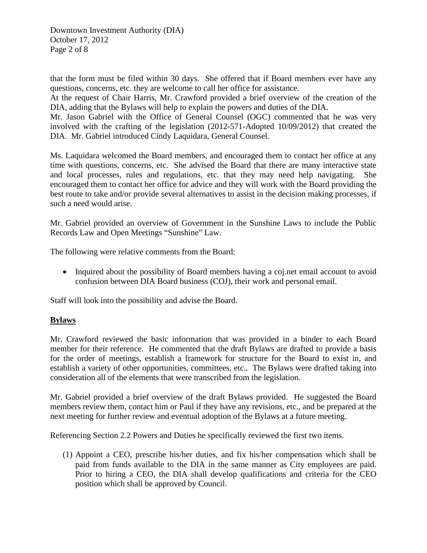Downtown Investment Authority (DIA) October 17, 2012 Page 2 of 8

that the form must be filed within 30 days. She offered that if Board members ever have any questions, concerns, etc. they are welcome to call her office for assistance.

At the request of Chair Harris, Mr. Crawford provided a brief overview of the creation of the DIA, adding that the Bylaws will help to explain the powers and duties of the DIA.

Mr. Jason Gabriel with the Office of General Counsel (OGC) commented that he was very involved with the crafting of the legislation (2012-571-Adopted 10/09/2012) that created the DIA. Mr. Gabriel introduced Cindy Laquidara, General Counsel.

Ms. Laquidara welcomed the Board members, and encouraged them to contact her office at any time with questions, concerns, etc. She advised the Board that there are many interactive state and local processes, rules and regulations, etc. that they may need help navigating. She encouraged them to contact her office for advice and they will work with the Board providing the best route to take and/or provide several alternatives to assist in the decision making processes, if such a need would arise.

Mr. Gabriel provided an overview of Government in the Sunshine Laws to include the Public Records Law and Open Meetings "Sunshine" Law.

The following were relative comments from the Board:

• Inquired about the possibility of Board members having a coj.net email account to avoid confusion between DIA Board business (COJ), their work and personal email.

Staff will look into the possibility and advise the Board.

#### **Bylaws**

Mr. Crawford reviewed the basic information that was provided in a binder to each Board member for their reference. He commented that the draft Bylaws are drafted to provide a basis for the order of meetings, establish a framework for structure for the Board to exist in, and establish a variety of other opportunities, committees, etc.. The Bylaws were drafted taking into consideration all of the elements that were transcribed from the legislation.

Mr. Gabriel provided a brief overview of the draft Bylaws provided. He suggested the Board members review them, contact him or Paul if they have any revisions, etc., and be prepared at the next meeting for further review and eventual adoption of the Bylaws at a future meeting.

Referencing Section 2.2 Powers and Duties he specifically reviewed the first two items.

(1) Appoint a CEO, prescribe his/her duties, and fix his/her compensation which shall be paid from funds available to the DIA in the same manner as City employees are paid. Prior to hiring a CEO, the DIA shall develop qualifications and criteria for the CEO position which shall be approved by Council.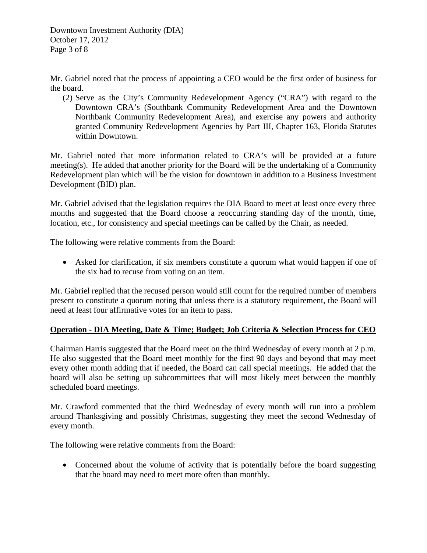Downtown Investment Authority (DIA) October 17, 2012 Page 3 of 8

Mr. Gabriel noted that the process of appointing a CEO would be the first order of business for the board.

(2) Serve as the City's Community Redevelopment Agency ("CRA") with regard to the Downtown CRA's (Southbank Community Redevelopment Area and the Downtown Northbank Community Redevelopment Area), and exercise any powers and authority granted Community Redevelopment Agencies by Part III, Chapter 163, Florida Statutes within Downtown.

Mr. Gabriel noted that more information related to CRA's will be provided at a future meeting(s). He added that another priority for the Board will be the undertaking of a Community Redevelopment plan which will be the vision for downtown in addition to a Business Investment Development (BID) plan.

Mr. Gabriel advised that the legislation requires the DIA Board to meet at least once every three months and suggested that the Board choose a reoccurring standing day of the month, time, location, etc., for consistency and special meetings can be called by the Chair, as needed.

The following were relative comments from the Board:

• Asked for clarification, if six members constitute a quorum what would happen if one of the six had to recuse from voting on an item.

Mr. Gabriel replied that the recused person would still count for the required number of members present to constitute a quorum noting that unless there is a statutory requirement, the Board will need at least four affirmative votes for an item to pass.

# **Operation - DIA Meeting, Date & Time; Budget; Job Criteria & Selection Process for CEO**

Chairman Harris suggested that the Board meet on the third Wednesday of every month at 2 p.m. He also suggested that the Board meet monthly for the first 90 days and beyond that may meet every other month adding that if needed, the Board can call special meetings. He added that the board will also be setting up subcommittees that will most likely meet between the monthly scheduled board meetings.

Mr. Crawford commented that the third Wednesday of every month will run into a problem around Thanksgiving and possibly Christmas, suggesting they meet the second Wednesday of every month.

The following were relative comments from the Board:

• Concerned about the volume of activity that is potentially before the board suggesting that the board may need to meet more often than monthly.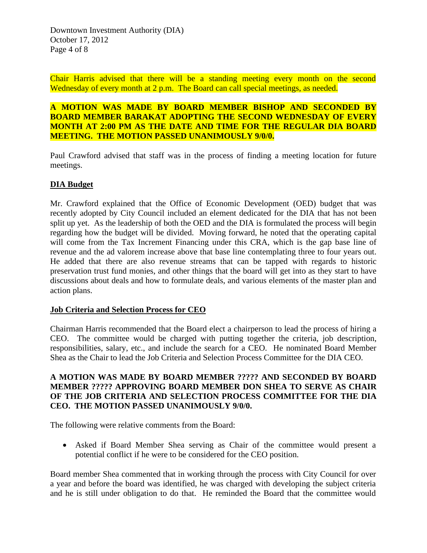Chair Harris advised that there will be a standing meeting every month on the second Wednesday of every month at 2 p.m. The Board can call special meetings, as needed.

## **A MOTION WAS MADE BY BOARD MEMBER BISHOP AND SECONDED BY BOARD MEMBER BARAKAT ADOPTING THE SECOND WEDNESDAY OF EVERY MONTH AT 2:00 PM AS THE DATE AND TIME FOR THE REGULAR DIA BOARD MEETING. THE MOTION PASSED UNANIMOUSLY 9/0/0.**

Paul Crawford advised that staff was in the process of finding a meeting location for future meetings.

## **DIA Budget**

Mr. Crawford explained that the Office of Economic Development (OED) budget that was recently adopted by City Council included an element dedicated for the DIA that has not been split up yet. As the leadership of both the OED and the DIA is formulated the process will begin regarding how the budget will be divided. Moving forward, he noted that the operating capital will come from the Tax Increment Financing under this CRA, which is the gap base line of revenue and the ad valorem increase above that base line contemplating three to four years out. He added that there are also revenue streams that can be tapped with regards to historic preservation trust fund monies, and other things that the board will get into as they start to have discussions about deals and how to formulate deals, and various elements of the master plan and action plans.

#### **Job Criteria and Selection Process for CEO**

Chairman Harris recommended that the Board elect a chairperson to lead the process of hiring a CEO. The committee would be charged with putting together the criteria, job description, responsibilities, salary, etc., and include the search for a CEO. He nominated Board Member Shea as the Chair to lead the Job Criteria and Selection Process Committee for the DIA CEO.

## **A MOTION WAS MADE BY BOARD MEMBER ????? AND SECONDED BY BOARD MEMBER ????? APPROVING BOARD MEMBER DON SHEA TO SERVE AS CHAIR OF THE JOB CRITERIA AND SELECTION PROCESS COMMITTEE FOR THE DIA CEO. THE MOTION PASSED UNANIMOUSLY 9/0/0.**

The following were relative comments from the Board:

• Asked if Board Member Shea serving as Chair of the committee would present a potential conflict if he were to be considered for the CEO position.

Board member Shea commented that in working through the process with City Council for over a year and before the board was identified, he was charged with developing the subject criteria and he is still under obligation to do that. He reminded the Board that the committee would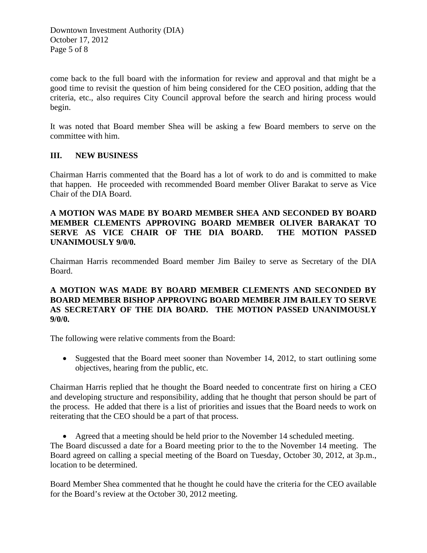Downtown Investment Authority (DIA) October 17, 2012 Page 5 of 8

come back to the full board with the information for review and approval and that might be a good time to revisit the question of him being considered for the CEO position, adding that the criteria, etc., also requires City Council approval before the search and hiring process would begin.

It was noted that Board member Shea will be asking a few Board members to serve on the committee with him.

## **III. NEW BUSINESS**

Chairman Harris commented that the Board has a lot of work to do and is committed to make that happen. He proceeded with recommended Board member Oliver Barakat to serve as Vice Chair of the DIA Board.

## **A MOTION WAS MADE BY BOARD MEMBER SHEA AND SECONDED BY BOARD MEMBER CLEMENTS APPROVING BOARD MEMBER OLIVER BARAKAT TO SERVE AS VICE CHAIR OF THE DIA BOARD. THE MOTION PASSED UNANIMOUSLY 9/0/0.**

Chairman Harris recommended Board member Jim Bailey to serve as Secretary of the DIA Board.

## **A MOTION WAS MADE BY BOARD MEMBER CLEMENTS AND SECONDED BY BOARD MEMBER BISHOP APPROVING BOARD MEMBER JIM BAILEY TO SERVE AS SECRETARY OF THE DIA BOARD. THE MOTION PASSED UNANIMOUSLY 9/0/0.**

The following were relative comments from the Board:

• Suggested that the Board meet sooner than November 14, 2012, to start outlining some objectives, hearing from the public, etc.

Chairman Harris replied that he thought the Board needed to concentrate first on hiring a CEO and developing structure and responsibility, adding that he thought that person should be part of the process. He added that there is a list of priorities and issues that the Board needs to work on reiterating that the CEO should be a part of that process.

• Agreed that a meeting should be held prior to the November 14 scheduled meeting. The Board discussed a date for a Board meeting prior to the to the November 14 meeting. The Board agreed on calling a special meeting of the Board on Tuesday, October 30, 2012, at 3p.m., location to be determined.

Board Member Shea commented that he thought he could have the criteria for the CEO available for the Board's review at the October 30, 2012 meeting.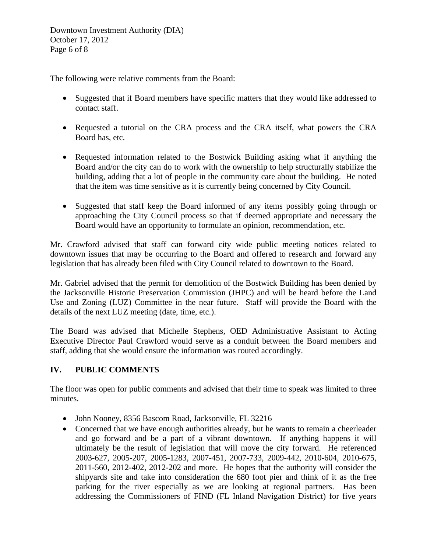Downtown Investment Authority (DIA) October 17, 2012 Page 6 of 8

The following were relative comments from the Board:

- Suggested that if Board members have specific matters that they would like addressed to contact staff.
- Requested a tutorial on the CRA process and the CRA itself, what powers the CRA Board has, etc.
- Requested information related to the Bostwick Building asking what if anything the Board and/or the city can do to work with the ownership to help structurally stabilize the building, adding that a lot of people in the community care about the building. He noted that the item was time sensitive as it is currently being concerned by City Council.
- Suggested that staff keep the Board informed of any items possibly going through or approaching the City Council process so that if deemed appropriate and necessary the Board would have an opportunity to formulate an opinion, recommendation, etc.

Mr. Crawford advised that staff can forward city wide public meeting notices related to downtown issues that may be occurring to the Board and offered to research and forward any legislation that has already been filed with City Council related to downtown to the Board.

Mr. Gabriel advised that the permit for demolition of the Bostwick Building has been denied by the Jacksonville Historic Preservation Commission (JHPC) and will be heard before the Land Use and Zoning (LUZ) Committee in the near future. Staff will provide the Board with the details of the next LUZ meeting (date, time, etc.).

The Board was advised that Michelle Stephens, OED Administrative Assistant to Acting Executive Director Paul Crawford would serve as a conduit between the Board members and staff, adding that she would ensure the information was routed accordingly.

# **IV. PUBLIC COMMENTS**

The floor was open for public comments and advised that their time to speak was limited to three minutes.

- John Nooney, 8356 Bascom Road, Jacksonville, FL 32216
- Concerned that we have enough authorities already, but he wants to remain a cheerleader and go forward and be a part of a vibrant downtown. If anything happens it will ultimately be the result of legislation that will move the city forward. He referenced 2003-627, 2005-207, 2005-1283, 2007-451, 2007-733, 2009-442, 2010-604, 2010-675, 2011-560, 2012-402, 2012-202 and more. He hopes that the authority will consider the shipyards site and take into consideration the 680 foot pier and think of it as the free parking for the river especially as we are looking at regional partners. Has been addressing the Commissioners of FIND (FL Inland Navigation District) for five years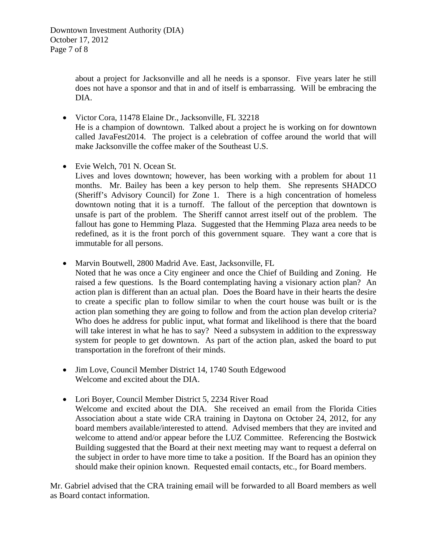about a project for Jacksonville and all he needs is a sponsor. Five years later he still does not have a sponsor and that in and of itself is embarrassing. Will be embracing the DIA.

- Victor Cora, 11478 Elaine Dr., Jacksonville, FL 32218 He is a champion of downtown. Talked about a project he is working on for downtown called JavaFest2014. The project is a celebration of coffee around the world that will make Jacksonville the coffee maker of the Southeast U.S.
- Evie Welch, 701 N. Ocean St.
	- Lives and loves downtown; however, has been working with a problem for about 11 months. Mr. Bailey has been a key person to help them. She represents SHADCO (Sheriff's Advisory Council) for Zone 1. There is a high concentration of homeless downtown noting that it is a turnoff. The fallout of the perception that downtown is unsafe is part of the problem. The Sheriff cannot arrest itself out of the problem. The fallout has gone to Hemming Plaza. Suggested that the Hemming Plaza area needs to be redefined, as it is the front porch of this government square. They want a core that is immutable for all persons.
- Marvin Boutwell, 2800 Madrid Ave. East, Jacksonville, FL
	- Noted that he was once a City engineer and once the Chief of Building and Zoning. He raised a few questions. Is the Board contemplating having a visionary action plan? An action plan is different than an actual plan. Does the Board have in their hearts the desire to create a specific plan to follow similar to when the court house was built or is the action plan something they are going to follow and from the action plan develop criteria? Who does he address for public input, what format and likelihood is there that the board will take interest in what he has to say? Need a subsystem in addition to the expressway system for people to get downtown. As part of the action plan, asked the board to put transportation in the forefront of their minds.
- Jim Love, Council Member District 14, 1740 South Edgewood Welcome and excited about the DIA.
- Lori Boyer, Council Member District 5, 2234 River Road Welcome and excited about the DIA. She received an email from the Florida Cities Association about a state wide CRA training in Daytona on October 24, 2012, for any board members available/interested to attend. Advised members that they are invited and welcome to attend and/or appear before the LUZ Committee. Referencing the Bostwick Building suggested that the Board at their next meeting may want to request a deferral on the subject in order to have more time to take a position. If the Board has an opinion they should make their opinion known. Requested email contacts, etc., for Board members.

Mr. Gabriel advised that the CRA training email will be forwarded to all Board members as well as Board contact information.